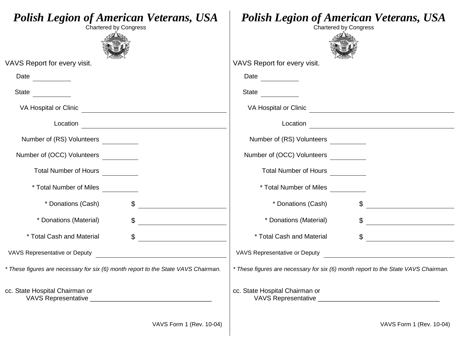| <b>Polish Legion of American Veterans, USA</b><br><b>Chartered by Congress</b>                                                                                                                                                                                                                                                                                                                                                                               | <b>Polish Legion of American Veterans, USA</b><br><b>Chartered by Congress</b>                                                                                                                                                                                                                                                                                                                                                                               |
|--------------------------------------------------------------------------------------------------------------------------------------------------------------------------------------------------------------------------------------------------------------------------------------------------------------------------------------------------------------------------------------------------------------------------------------------------------------|--------------------------------------------------------------------------------------------------------------------------------------------------------------------------------------------------------------------------------------------------------------------------------------------------------------------------------------------------------------------------------------------------------------------------------------------------------------|
| VAVS Report for every visit.                                                                                                                                                                                                                                                                                                                                                                                                                                 | VAVS Report for every visit.                                                                                                                                                                                                                                                                                                                                                                                                                                 |
|                                                                                                                                                                                                                                                                                                                                                                                                                                                              |                                                                                                                                                                                                                                                                                                                                                                                                                                                              |
| State                                                                                                                                                                                                                                                                                                                                                                                                                                                        | State $\frac{1}{\sqrt{1-\frac{1}{2}} \cdot \frac{1}{2}}$                                                                                                                                                                                                                                                                                                                                                                                                     |
|                                                                                                                                                                                                                                                                                                                                                                                                                                                              |                                                                                                                                                                                                                                                                                                                                                                                                                                                              |
|                                                                                                                                                                                                                                                                                                                                                                                                                                                              |                                                                                                                                                                                                                                                                                                                                                                                                                                                              |
| Number of (RS) Volunteers __________                                                                                                                                                                                                                                                                                                                                                                                                                         | Number of (RS) Volunteers __________                                                                                                                                                                                                                                                                                                                                                                                                                         |
| Number of (OCC) Volunteers                                                                                                                                                                                                                                                                                                                                                                                                                                   | Number of (OCC) Volunteers                                                                                                                                                                                                                                                                                                                                                                                                                                   |
|                                                                                                                                                                                                                                                                                                                                                                                                                                                              | Total Number of Hours __________                                                                                                                                                                                                                                                                                                                                                                                                                             |
| * Total Number of Miles __________                                                                                                                                                                                                                                                                                                                                                                                                                           | * Total Number of Miles __________                                                                                                                                                                                                                                                                                                                                                                                                                           |
| $\boldsymbol{\mathsf{S}}$<br>* Donations (Cash)                                                                                                                                                                                                                                                                                                                                                                                                              | * Donations (Cash)<br>$\mathbb{S}^-$                                                                                                                                                                                                                                                                                                                                                                                                                         |
| * Donations (Material)<br>$\frac{1}{2}$                                                                                                                                                                                                                                                                                                                                                                                                                      | * Donations (Material)<br>$\frac{1}{2}$                                                                                                                                                                                                                                                                                                                                                                                                                      |
| * Total Cash and Material<br>$\frac{1}{\sqrt{1-\frac{1}{2}}}\frac{1}{\sqrt{1-\frac{1}{2}}}\frac{1}{\sqrt{1-\frac{1}{2}}}\frac{1}{\sqrt{1-\frac{1}{2}}}\frac{1}{\sqrt{1-\frac{1}{2}}}\frac{1}{\sqrt{1-\frac{1}{2}}}\frac{1}{\sqrt{1-\frac{1}{2}}}\frac{1}{\sqrt{1-\frac{1}{2}}}\frac{1}{\sqrt{1-\frac{1}{2}}}\frac{1}{\sqrt{1-\frac{1}{2}}}\frac{1}{\sqrt{1-\frac{1}{2}}}\frac{1}{\sqrt{1-\frac{1}{2}}}\frac{1}{\sqrt{1-\frac{1}{2}}}\frac{1}{\sqrt{1-\frac{$ | * Total Cash and Material<br>$\frac{1}{\sqrt{1-\frac{1}{2}}}\frac{1}{\sqrt{1-\frac{1}{2}}}\frac{1}{\sqrt{1-\frac{1}{2}}}\frac{1}{\sqrt{1-\frac{1}{2}}}\frac{1}{\sqrt{1-\frac{1}{2}}}\frac{1}{\sqrt{1-\frac{1}{2}}}\frac{1}{\sqrt{1-\frac{1}{2}}}\frac{1}{\sqrt{1-\frac{1}{2}}}\frac{1}{\sqrt{1-\frac{1}{2}}}\frac{1}{\sqrt{1-\frac{1}{2}}}\frac{1}{\sqrt{1-\frac{1}{2}}}\frac{1}{\sqrt{1-\frac{1}{2}}}\frac{1}{\sqrt{1-\frac{1}{2}}}\frac{1}{\sqrt{1-\frac{$ |
| VAVS Representative or Deputy<br><u> and</u> the contract of the contract of the contract of the contract of the contract of the contract of the contract of the contract of the contract of the contract of the contract of the cont                                                                                                                                                                                                                        | <b>VAVS Representative or Deputy</b>                                                                                                                                                                                                                                                                                                                                                                                                                         |
| * These figures are necessary for six (6) month report to the State VAVS Chairman.                                                                                                                                                                                                                                                                                                                                                                           | * These figures are necessary for six (6) month report to the State VAVS Chairman.                                                                                                                                                                                                                                                                                                                                                                           |
| cc. State Hospital Chairman or                                                                                                                                                                                                                                                                                                                                                                                                                               | cc. State Hospital Chairman or                                                                                                                                                                                                                                                                                                                                                                                                                               |
| VAVS Form 1 (Rev. 10-04)                                                                                                                                                                                                                                                                                                                                                                                                                                     | VAVS Form 1 (Rev. 10-04)                                                                                                                                                                                                                                                                                                                                                                                                                                     |